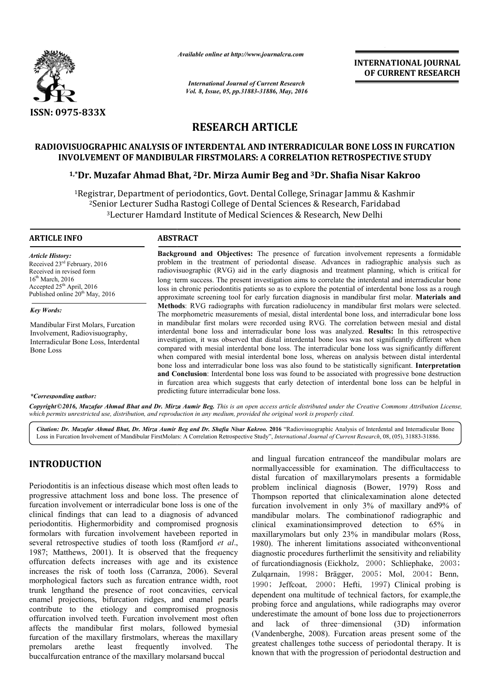

*Available online at http://www.journalcra.com*

*International Journal of Current Research Vol. 8, Issue, 05, pp.31883-31886, May, 2016* **INTERNATIONAL JOURNAL OF CURRENT RESEARCH**

# **RESEARCH ARTICLE**

# **RADIOVISUOGRAPHIC ANALYSIS OF INTERDENTAL AND INTERRADICULAR BONE LOSS IN FURCATION INVOLVEMENT OF MANDIBULAR FIRSTMOLARS: A CORRELATION RETROSPECTIVE STUDY** RADIOVISUOGRAPHIC ANALYSIS OF INTERDENTAL AND INTERRADICULAR BONE LOSS IN FUR<br>INVOLVEMENT OF MANDIBULAR FIRSTMOLARS: A CORRELATION RETROSPECTIVE STU<br><sup>1,\*</sup>Dr. Muzafar Ahmad Bhat, <sup>2</sup>Dr. Mirza Aumir Beg and <sup>3</sup>Dr. Shafia Nis

<sup>1</sup>Registrar, Department of periodontics, Govt. Dental College, Srinagar Jammu & Kashmir<br><sup>2</sup>Senior Lecturer Sudha Rastogi College of Dental Sciences & Research, Faridabad<sup>3</sup>Lecturer Hamdard Institute of Medical Sciences & <sup>2</sup>Senior Lecturer Sudha Rastogi College of Dental Sciences & Research, Faridabad <sup>3</sup>Lecturer Hamdard Institute of Medical Sciences & Research, New Delhi

#### **ARTICLE INFO ABSTRACT**

*Article History:* Received 23rd February, 2016 Received in revised form 16<sup>th</sup> March, 2016 Accepted  $25<sup>th</sup>$  April, 2016 Published online 20<sup>th</sup> May, 2016

*Key Words:*

Mandibular First Molars, Furcation Involvement, Radiovisuography, Interradicular Bone Loss, Interdental Bone Loss

Background and Objectives: The presence of furcation involvement represents a formidable problem in the treatment of periodontal disease. Advances in radiographic analysis such as radiovisuographic (RVG) aid in the early diagnosis and treatment planning, which is critical for long‑term success. The present investigation aims to correlate the interdental and interradicular bone loss in chronic periodontitis patients so as to explore the potential of interdental bone loss as a rough problem in the treatment of periodontal disease. Advances in radiographic analysis such as<br>radiovisuographic (RVG) aid in the early diagnosis and treatment planning, which is critical for<br>long-term success. The present inv **Methods** : RVG radiographs with furcation radiolucency in mandibular first molars were selected. The morphometric measurements of mesial, distal interdental bone loss, and interradicular bone loss in mandibular f first molars were recorded using RVG. The correlation between mesial and distal Methods: RVG radiographs with furcation radiolucency in mandibular first molars were selected.<br>The morphometric measurements of mesial, distal interdental bone loss, and interradicular bone loss<br>in mandibular first molars investigation, it was observed that distal interdental bone loss was not significantly different when compared with mesial interdental bone loss. The interradicular bone loss was significantly different compared with mesial interdental bone loss. The interradicular bone loss was significantly different when compared with mesial interdental bone loss, whereas on analysis between distal interdental bone loss and interradicular bone loss was also found to be statistically significant. **Interpretation and Conclusion** : Interdental bone loss was found to be associated with progressive bone destruction and Conclusion: Interdental bone loss was found to be associated with progressive bone destruction in furcation area which suggests that early detection of interdental bone loss can be helpful in predicting future interradicular bone loss.

#### *\*Corresponding author:*

Copyright©2016, Muzafar Ahmad Bhat and Dr. Mirza Aumir Beg. This is an open access article distributed under the Creative Commons Attribution License, which permits unrestricted use, distribution, and reproduction in any medium, provided the original work is properly cited.

Citation: Dr. Muzafar Ahmad Bhat, Dr. Mirza Aumir Beg and Dr. Shafia Nisar Kakroo. 2016 "Radiovisuographic Analysis of Interdental and Interradicular Bone Citation: Dr. Muzafar Ahmad Bhat, Dr. Mirza Aumir Beg and Dr. Shafia Nisar Kakroo. 2016 "Radiovisuographic Analysis of Interdental and Interradicular<br>Loss in Furcation Involvement of Mandibular FirstMolars: A Correlation R

## **INTRODUCTION**

Periodontitis is an infectious disease which most often leads to progressive attachment loss and bone loss. The presence of furcation involvement or interradicular bone loss is one of the clinical findings that can lead to a diagnosis of advanced periodontitis. Highermorbidity and compromised prognosis formolars with furcation involvement havebeen reported in several retrospective studies of tooth loss (Ramfjord *et al*., 1987; Matthews, 2001). It is observed that the frequency offurcation defects increases with age and its existence increases the risk of tooth loss (Carranza, 2006). Several morphological factors such as furcation entrance width, root trunk lengthand the presence of root concavities, cervical enamel projections, bifurcation ridges, and enamel pearls contribute to the etiology and compromised prognosis offurcation involved teeth. Furcation involvement most often affects the mandibular first molars, followed bymesial furcation of the maxillary firstmolars, whereas the maxillary premolars arethe least frequently involved. The buccalfurcation entrance of the maxillary molarsand buccal %, and enamel pearls<br>npromised prognosis<br>volvement most often<br>followed bymesial<br>whereas the maxillary and lingual furcation entranceof the mandibular molars are normallyaccessible for examination. The difficultaccess to distal furcation of maxillarymolars presents a formidable problem inclinical diagnosis (Bower, 1979) Ross and Thompson reported that clinicalexamination alone detected furcation involvement in only 3% of maxillary and9% of mandibular molars. The combination of radiographic and clinical examinationsimproved detection to 65% in maxillarymolars but only 23% in mandibular molars (Ross, 1980). The inherent limitations associated withconventional diagnostic procedures furtherlimit the sensitivity and reliability of furcationdiagnosis (Eickholz Eickholz, 2000; Schliephake, 2003; Zulqarnain, 1998; Brägger, 2005; Mol, 2004; Benn, 1990; Jeffcoat, 2000; Hefti , 1997) Clinical probing is dependent ona multitude of technical factors, for example, the probing force and angulations, while radiographs may overor underestimate the amount of bone loss due to projectionerrors and lack of three-dimensional (3D) information (Vandenberghe, 2008). Furcation areas present some of the greatest challenges tothe success of periodontal therapy. It is known that with the progression of periodontal destruction and interation entranceof the mandibular<br>sible for examination. The diffici<br>n of maxillarymolars presents a reported that clinicalexamination alone detected<br>volvement in only 3% of maxillary and9% of<br>molars. The combination of radiographic and **INTERNATIONAL JOURNAL EST**<br> **INTERNATIONAL JOURNAL CONFIGURE CONTINENT RESEARCH CONFIGURE CONFIGURE CONFIGURE CONFIGURE CONFIGURE CONFIGURE CONFIGURE CONFIGURE CONFIGURE CONFIGURE CONFIGURE CONFIGURE CONFIGURE CONFIGURE C**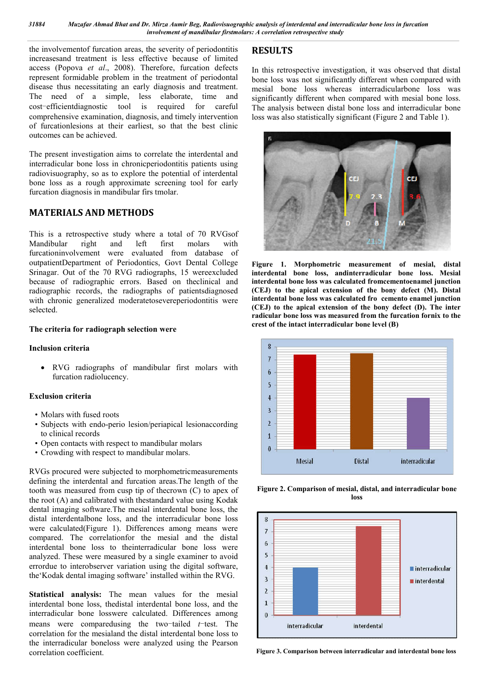the involvementof furcation areas, the severity of periodontitis increasesand treatment is less effective because of limited access (Popova *et al*., 2008). Therefore, furcation defects represent formidable problem in the treatment of periodontal disease thus necessitating an early diagnosis and treatment. The need of a simple, less elaborate, time and cost-efficientdiagnostic tool is required for careful comprehensive examination, diagnosis, and timely intervention of furcationlesions at their earliest, so that the best clinic outcomes can be achieved.

The present investigation aims to correlate the interdental and interradicular bone loss in chronicperiodontitis patients using radiovisuography, so as to explore the potential of interdental bone loss as a rough approximate screening tool for early furcation diagnosis in mandibular firs tmolar.

## **MATERIALS AND METHODS**

This is a retrospective study where a total of 70 RVGsof<br>Mandibular right and left first molars with Mandibular right and left first molars with furcationinvolvement were evaluated from database of outpatientDepartment of Periodontics, Govt Dental College Srinagar. Out of the 70 RVG radiographs, 15 wereexcluded because of radiographic errors. Based on theclinical and radiographic records, the radiographs of patientsdiagnosed with chronic generalized moderatetosevereperiodontitis were selected.

#### **The criteria for radiograph selection were**

#### **Inclusion criteria**

 RVG radiographs of mandibular first molars with furcation radiolucency.

### **Exclusion criteria**

- Molars with fused roots
- Subjects with endo-perio lesion/periapical lesionaccording to clinical records
- Open contacts with respect to mandibular molars
- Crowding with respect to mandibular molars.

RVGs procured were subjected to morphometricmeasurements defining the interdental and furcation areas.The length of the tooth was measured from cusp tip of thecrown (C) to apex of the root (A) and calibrated with thestandard value using Kodak dental imaging software.The mesial interdental bone loss, the distal interdentalbone loss, and the interradicular bone loss were calculated(Figure 1). Differences among means were compared. The correlationfor the mesial and the distal interdental bone loss to theinterradicular bone loss were analyzed. These were measured by a single examiner to avoid errordue to interobserver variation using the digital software, the'Kodak dental imaging software' installed within the RVG.

**Statistical analysis:** The mean values for the mesial interdental bone loss, thedistal interdental bone loss, and the interradicular bone losswere calculated. Differences among means were comparedusing the two-tailed *t*-test. The correlation for the mesialand the distal interdental bone loss to the interradicular boneloss were analyzed using the Pearson correlation coefficient.

# **RESULTS**

In this retrospective investigation, it was observed that distal bone loss was not significantly different when compared with mesial bone loss whereas interradicularbone loss was significantly different when compared with mesial bone loss. The analysis between distal bone loss and interradicular bone loss was also statistically significant (Figure 2 and Table 1).



**Figure 1. Morphometric measurement of mesial, distal interdental bone loss, andinterradicular bone loss. Mesial interdental bone loss was calculated fromcementoenamel junction (CEJ) to the apical extension of the bony defect (M). Distal interdental bone loss was calculated fro cemento enamel junction (CEJ) to the apical extension of the bony defect (D). The inter radicular bone loss was measured from the furcation fornix to the crest of the intact interradicular bone level (B)**



**Figure 2. Comparison of mesial, distal, and interradicular bone loss**



**Figure 3. Comparison between interradicular and interdental bone loss**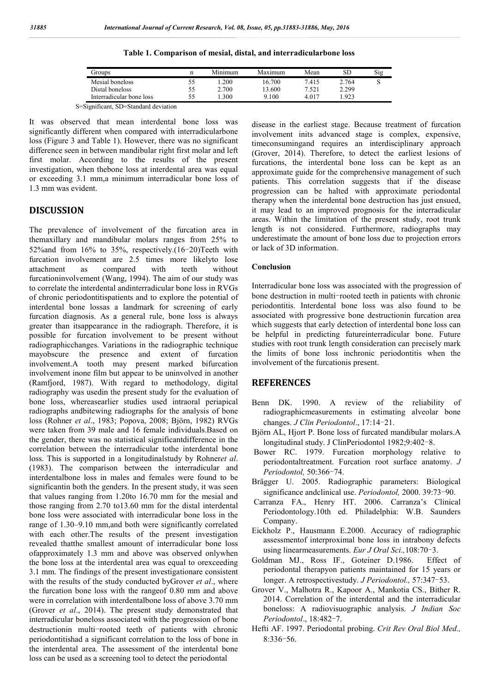| Groups                   | n  | Minimum | Maximum | Mean  | SD    | Sig |
|--------------------------|----|---------|---------|-------|-------|-----|
| Mesial boneloss          | 55 | 1.200   | 16.700  | 7.415 | 2.764 | ت   |
| Distal boneloss          | 55 | 2.700   | 13.600  | 7.521 | 2.299 |     |
| Interradicular bone loss | 55 | .300    | 9.100   | 4.017 | .923  |     |

**Table 1. Comparison of mesial, distal, and interradicularbone loss**

S=Significant, SD=Standard deviation

It was observed that mean interdental bone loss was significantly different when compared with interradicularbone loss (Figure 3 and Table 1). However, there was no significant difference seen in between mandibular right first molar and left first molar. According to the results of the present investigation, when thebone loss at interdental area was equal or exceeding 3.1 mm,a minimum interradicular bone loss of 1.3 mm was evident.

### **DISCUSSION**

The prevalence of involvement of the furcation area in themaxillary and mandibular molars ranges from 25% to 52%and from 16% to 35%, respectively.(16-20)Teeth with furcation involvement are 2.5 times more likelyto lose attachment as compared with teeth without furcationinvolvement (Wang, 1994). The aim of our study was to correlate the interdental andinterradicular bone loss in RVGs of chronic periodontitispatients and to explore the potential of interdental bone lossas a landmark for screening of early furcation diagnosis. As a general rule, bone loss is always greater than itsappearance in the radiograph. Therefore, it is possible for furcation involvement to be present without radiographicchanges. Variations in the radiographic technique mayobscure the presence and extent of furcation involvement.A tooth may present marked bifurcation involvement inone film but appear to be uninvolved in another (Ramfjord, 1987). With regard to methodology, digital radiography was usedin the present study for the evaluation of bone loss, whereasearlier studies used intraoral periapical radiographs andbitewing radiographs for the analysis of bone loss (Rohner *et al*., 1983; Popova, 2008; Björn, 1982) RVGs were taken from 39 male and 16 female individuals.Based on the gender, there was no statistical significantdifference in the correlation between the interradicular tothe interdental bone loss. This is supported in a longitudinalstudy by Rohner*et al*. (1983). The comparison between the interradicular and interdentalbone loss in males and females were found to be significantin both the genders. In the present study, it was seen that values ranging from 1.20to 16.70 mm for the mesial and those ranging from 2.70 to13.60 mm for the distal interdental bone loss were associated with interradicular bone loss in the range of 1.30–9.10 mm,and both were significantly correlated with each other.The results of the present investigation revealed thatthe smallest amount of interradicular bone loss ofapproximately 1.3 mm and above was observed onlywhen the bone loss at the interdental area was equal to orexceeding 3.1 mm. The findings of the present investigationare consistent with the results of the study conducted byGrover *et al*., where the furcation bone loss with the rangeof 0.80 mm and above were in correlation with interdentalbone loss of above 3.70 mm (Grover *et al*., 2014). The present study demonstrated that interradicular boneloss associated with the progression of bone destructionin multi-rooted teeth of patients with chronic periodontitishad a significant correlation to the loss of bone in the interdental area. The assessment of the interdental bone loss can be used as a screening tool to detect the periodontal

disease in the earliest stage. Because treatment of furcation involvement inits advanced stage is complex, expensive, timeconsumingand requires an interdisciplinary approach (Grover, 2014). Therefore, to detect the earliest lesions of furcations, the interdental bone loss can be kept as an approximate guide for the comprehensive management of such patients. This correlation suggests that if the disease progression can be halted with approximate periodontal therapy when the interdental bone destruction has just ensued, it may lead to an improved prognosis for the interradicular areas. Within the limitation of the present study, root trunk length is not considered. Furthermore, radiographs may underestimate the amount of bone loss due to projection errors or lack of 3D information.

#### **Conclusion**

Interradicular bone loss was associated with the progression of bone destruction in multi-rooted teeth in patients with chronic periodontitis. Interdental bone loss was also found to be associated with progressive bone destructionin furcation area which suggests that early detection of interdental bone loss can be helpful in predicting futureinterradicular bone. Future studies with root trunk length consideration can precisely mark the limits of bone loss inchronic periodontitis when the involvement of the furcationis present.

#### **REFERENCES**

- Benn DK. 1990. A review of the reliability of radiographicmeasurements in estimating alveolar bone changes. *J Clin Periodontol*., 17:14-21.
- Björn AL, Hjort P. Bone loss of furcated mandibular molars.A longitudinal study. J ClinPeriodontol 1982;9:402-8.
- Bower RC. 1979. Furcation morphology relative to periodontaltreatment. Furcation root surface anatomy. *J Periodontol,* 50:366-74.
- Brägger U. 2005. Radiographic parameters: Biological significance andclinical use. *Periodontol,* 2000. 39:73-90.
- Carranza FA., Henry HT. 2006. Carranza's Clinical Periodontology.10th ed. Philadelphia: W.B. Saunders Company.
- Eickholz P., Hausmann E.2000. Accuracy of radiographic assessmentof interproximal bone loss in intrabony defects using linearmeasurements. *Eur J Oral Sci.,*108:70-3.
- Goldman MJ., Ross IF., Goteiner D.1986. Effect of periodontal therapyon patients maintained for 15 years or longer. A retrospectivestudy. *J Periodontol.,* 57:347-53.
- Grover V., Malhotra R., Kapoor A., Mankotia CS., Bither R. 2014. Correlation of the interdental and the interradicular boneloss: A radiovisuographic analysis. *J Indian Soc Periodontol*., 18:482-7.
- Hefti AF. 1997. Periodontal probing. *Crit Rev Oral Biol Med.,* 8:336-56.